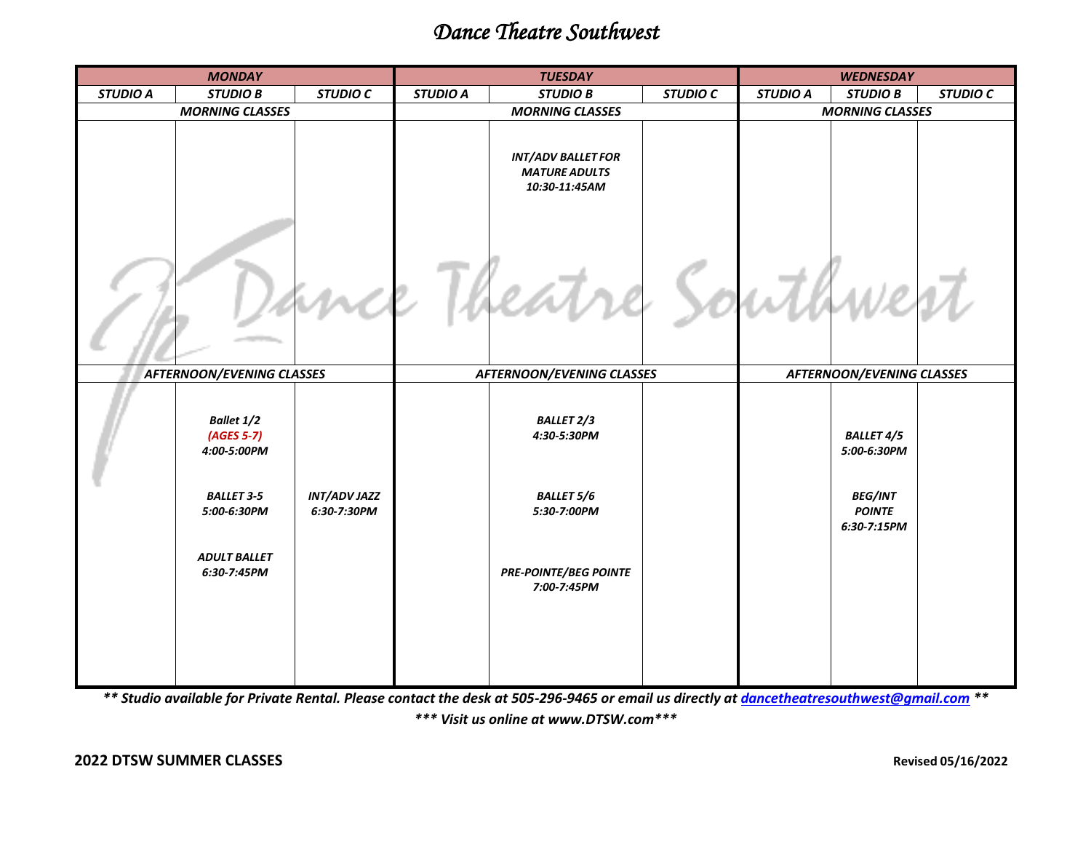## *Dance Theatre Southwest*

| <b>MONDAY</b>                    |                                           |                                    | <b>TUESDAY</b>                   |                                                                    |                 | <b>WEDNESDAY</b>                 |                                                |                 |
|----------------------------------|-------------------------------------------|------------------------------------|----------------------------------|--------------------------------------------------------------------|-----------------|----------------------------------|------------------------------------------------|-----------------|
| <b>STUDIO A</b>                  | <b>STUDIO B</b>                           | <b>STUDIO C</b>                    | <b>STUDIO A</b>                  | <b>STUDIO B</b>                                                    | <b>STUDIO C</b> | <b>STUDIO A</b>                  | <b>STUDIO B</b>                                | <b>STUDIO C</b> |
| <b>MORNING CLASSES</b>           |                                           |                                    | <b>MORNING CLASSES</b>           |                                                                    |                 | <b>MORNING CLASSES</b>           |                                                |                 |
|                                  |                                           |                                    |                                  | <b>INT/ADV BALLET FOR</b><br><b>MATURE ADULTS</b><br>10:30-11:45AM |                 |                                  |                                                |                 |
|                                  |                                           |                                    |                                  |                                                                    |                 |                                  |                                                |                 |
| <b>AFTERNOON/EVENING CLASSES</b> |                                           |                                    | <b>AFTERNOON/EVENING CLASSES</b> |                                                                    |                 | <b>AFTERNOON/EVENING CLASSES</b> |                                                |                 |
|                                  | Ballet 1/2<br>$(AGES 5-7)$<br>4:00-5:00PM |                                    |                                  | <b>BALLET 2/3</b><br>4:30-5:30PM                                   |                 |                                  | <b>BALLET 4/5</b><br>5:00-6:30PM               |                 |
|                                  | <b>BALLET 3-5</b><br>5:00-6:30PM          | <b>INT/ADV JAZZ</b><br>6:30-7:30PM |                                  | <b>BALLET 5/6</b><br>5:30-7:00PM                                   |                 |                                  | <b>BEG/INT</b><br><b>POINTE</b><br>6:30-7:15PM |                 |
|                                  | <b>ADULT BALLET</b><br>6:30-7:45PM        |                                    |                                  | <b>PRE-POINTE/BEG POINTE</b><br>7:00-7:45PM                        |                 |                                  |                                                |                 |
|                                  |                                           |                                    |                                  |                                                                    |                 |                                  |                                                |                 |

*\*\* Studio available for Private Rental. Please contact the desk at 505-296-9465 or email us directly a[t dancetheatresouthwest@gmail.com](mailto:dancetheatresouthwest@gmail.com) \*\**

*\*\*\* Visit us online at www.DTSW.com\*\*\**